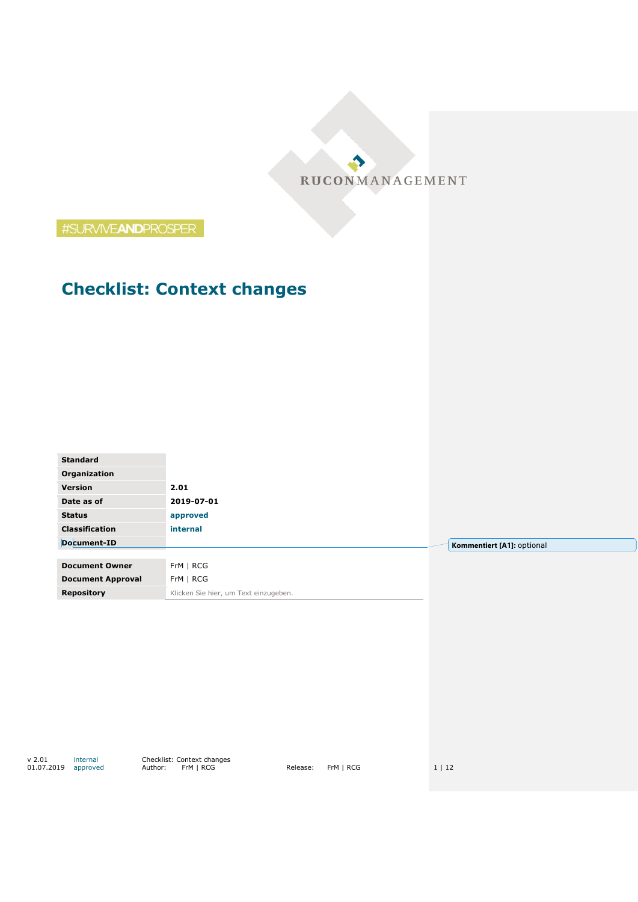RUCONMANAGEMENT

#SURVIVEANDPROSPER

# **Checklist: Context changes**

| Organization<br>Version<br>2.01<br>2019-07-01<br>Date as of<br><b>Status</b><br>approved<br><b>Classification</b><br>internal<br>Document-ID<br>Kommentiert [A1]: optional<br>FrM   RCG<br><b>Document Owner</b><br>FrM   RCG<br><b>Document Approval</b><br>Klicken Sie hier, um Text einzugeben.<br><b>Repository</b> | <b>Standard</b> |  |
|-------------------------------------------------------------------------------------------------------------------------------------------------------------------------------------------------------------------------------------------------------------------------------------------------------------------------|-----------------|--|
|                                                                                                                                                                                                                                                                                                                         |                 |  |
|                                                                                                                                                                                                                                                                                                                         |                 |  |
|                                                                                                                                                                                                                                                                                                                         |                 |  |
|                                                                                                                                                                                                                                                                                                                         |                 |  |
|                                                                                                                                                                                                                                                                                                                         |                 |  |
|                                                                                                                                                                                                                                                                                                                         |                 |  |
|                                                                                                                                                                                                                                                                                                                         |                 |  |
|                                                                                                                                                                                                                                                                                                                         |                 |  |
|                                                                                                                                                                                                                                                                                                                         |                 |  |
|                                                                                                                                                                                                                                                                                                                         |                 |  |

v 2.01 internal Checklist: Context changes 01.07.2019 approved Author: FrM | RCG Release: FrM | RCG 1 | 12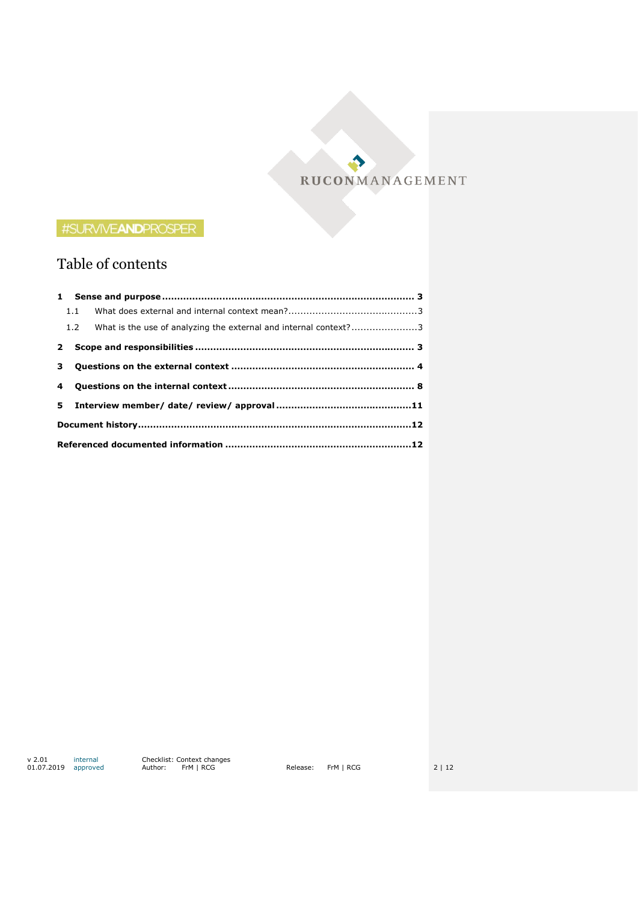RUCONMANAGEMENT

Ð

## #SURVIVEANDPROSPER

## Table of contents

|  | 1.2 What is the use of analyzing the external and internal context?3 |  |  |  |  |
|--|----------------------------------------------------------------------|--|--|--|--|
|  |                                                                      |  |  |  |  |
|  |                                                                      |  |  |  |  |
|  |                                                                      |  |  |  |  |
|  |                                                                      |  |  |  |  |
|  |                                                                      |  |  |  |  |
|  |                                                                      |  |  |  |  |

v 2.01 internal Checklist: Context changes 01.07.2019 approved Author: FrM | RCG Release: FrM | RCG 2 | 12